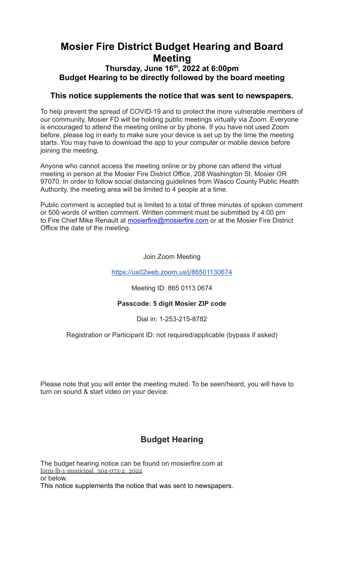## **Mosier Fire District Budget Hearing and Board Meeting Thursday, June 16 th , 2022 at 6:00pm**

# **Budget Hearing to be directly followed by the board meeting**

## **This notice supplements the notice that was sent to newspapers.**

To help prevent the spread of COVID-19 and to protect the more vulnerable members of our community, Mosier FD will be holding public meetings virtually via Zoom. Everyone is encouraged to attend the meeting online or by phone. If you have not used Zoom before, please log in early to make sure your device is set up by the time the meeting starts. You may have to download the app to your computer or mobile device before joining the meeting.

Anyone who cannot access the meeting online or by phone can attend the virtual meeting in person at the Mosier Fire District Office, 208 Washington St. Mosier OR 97070. In order to follow social distancing guidelines from Wasco County Public Health Authority, the meeting area will be limited to 4 people at a time.

Public comment is accepted but is limited to a total of three minutes of spoken comment or 500 words of written comment. Written comment must be submitted by 4:00 pm to Fire Chief Mike Renault at **[mosierfire@mosierfire.com](mailto:mosierfire@mosierfire.com)** or at the Mosier Fire District Office the date of the meeting.

### Join Zoom Meeting

### <https://us02web.zoom.us/j/86501130674>

Meeting ID: 865 0113 0674

### **Passcode: 5 digit Mosier ZIP code**

Dial in: 1-253-215-8782

Registration or Participant ID: not required/applicable (bypass if asked)

Please note that you will enter the meeting muted. To be seen/heard, you will have to turn on sound & start video on your device.

## **Budget Hearing**

The budget hearing notice can be found on mosierfire.com at [form-lb-1-municipal\\_504-073-2\\_2022](https://mosierfire.files.wordpress.com/2022/06/form-lb-1-municipal_504-073-2_2022mfd.xlsx) or below. This notice supplements the notice that was sent to newspapers.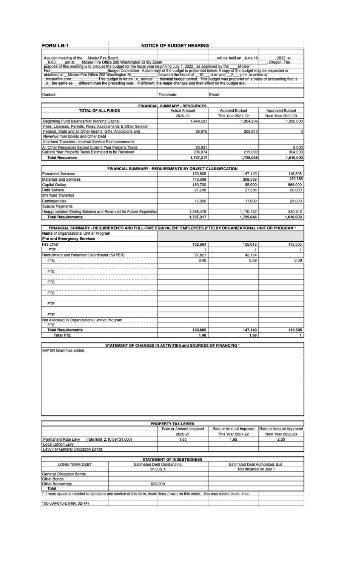#### FORM LB-1

#### **NOTICE OF BUDGET HEARING**

A public meeting of the Mosier Fire Board<br>
6:00 \_\_\_pm at \_\_\_Mosier Fire Office 208 Washington St/By Zoom<br>
purpose of this meeting is to discuss the budget for the fiscal year beginning July 1, 2022 as approved by the Mosie Contact: Telephone: Email:

| <b>FINANCIAL SUMMARY - RESOURCES</b>                        |                      |                       |                   |  |  |
|-------------------------------------------------------------|----------------------|-----------------------|-------------------|--|--|
| <b>TOTAL OF ALL FUNDS</b>                                   | <b>Actual Amount</b> | <b>Adopted Budget</b> | Approved Budget   |  |  |
|                                                             | 2020-21              | This Year 2021-22     | Next Year 2022-23 |  |  |
| Beginning Fund Balance/Net Working Capital                  | 1,449,537            | 1,304,236             | 1,300,000         |  |  |
| Fees, Licenses, Permits, Fines, Assessments & Other Service |                      |                       |                   |  |  |
| Federal, State and all Other Grants, Gifts, Allocations and | 26,975               | 205,810               | 0                 |  |  |
| Revenue from Bonds and Other Debt                           |                      |                       |                   |  |  |
| Interfund Transfers / Internal Service Reimbursements       |                      |                       |                   |  |  |
| All Other Resources Except Current Year Property Taxes      | 23,931               |                       | 6,000             |  |  |
| Current Year Property Taxes Estimated to be Received        | 236,874              | 215,000               | 304,000           |  |  |
| <b>Total Recourses</b>                                      | 1737317              | 1.725.046             | 610,000           |  |  |

| FINANCIAL SUMMARY - REQUIREMENTS BY OBJECT CLASSIFICATION        |           |           |           |  |
|------------------------------------------------------------------|-----------|-----------|-----------|--|
| Personnel Services                                               | 130,805   | 147.140   | 115,505   |  |
| Materials and Services                                           | 113,098   | 308,538   | 150.583   |  |
| Capital Outlay                                                   | 160,700   | 55,000    | 968,000   |  |
| <b>Debt Service</b>                                              | 27,236    | 27,236    | 20,000    |  |
| Interfund Transfers                                              |           |           |           |  |
| Contingencies                                                    | 17,000    | 17,000    | 25,000    |  |
| Special Payments                                                 |           |           |           |  |
| Unappropriated Ending Balance and Reserved for Future Expenditur | 1.288,478 | 1,170,132 | 330,912   |  |
| <b>Total Requirements</b>                                        | 1,737,317 | 1,725,046 | 1.610.000 |  |

FINANCIAL SUMMARY - REQUIREMENTS AND FULL-TIME EQUIVALENT EMPLOYEES (FTE) BY ORGANIZATIONAL UNIT OR PROGRAM \* Name of Organizational Unit or Program

| Lite and Emergency Services                     |         |         |         |
|-------------------------------------------------|---------|---------|---------|
| Fire Chief                                      | 102,984 | 105,016 | 115,505 |
| <b>FTE</b>                                      |         |         | Ŧ       |
| Recruitment and Retention Coordinator (SAFER)   | 27,821  | 42,124  |         |
| <b>FTE</b>                                      | 0.40    | 0.68    | 0.00    |
| <b>FTE</b>                                      |         |         |         |
| <b>FTE</b>                                      |         |         |         |
| <b>FTE</b>                                      |         |         |         |
| FTE                                             |         |         |         |
| <b>FTE</b>                                      |         |         |         |
| Not Allocated to Organizational Unit or Program |         |         |         |
| <b>FTE</b>                                      |         |         |         |
| <b>Total Requirements</b>                       | 130,805 | 147,140 | 115,505 |
| <b>Total FTE</b>                                | 1.40    | 1.68    | 1.      |

SAFER Grant has ended.

STATEMENT OF CHANGES IN ACTIVITIES and SOURCES OF FINANCING \*

| PROPERTY TAX LEVIES                                                                                                            |                                                 |                                  |                                |                         |  |
|--------------------------------------------------------------------------------------------------------------------------------|-------------------------------------------------|----------------------------------|--------------------------------|-------------------------|--|
|                                                                                                                                |                                                 | Rate or Amount Imposed           | Rate or Amount Imposed         | Rate or Amount Approved |  |
|                                                                                                                                |                                                 | 2020-21                          | This Year 2021-22              | Next Year 2022-23       |  |
| (rate limit 2.10 per \$1,000)<br>Permanent Rate Levy                                                                           |                                                 | 1.65                             | 1.65                           | 2.00                    |  |
| Local Option Levy                                                                                                              |                                                 |                                  |                                |                         |  |
| Levy For General Obligation Bonds                                                                                              |                                                 |                                  |                                |                         |  |
|                                                                                                                                |                                                 |                                  |                                |                         |  |
|                                                                                                                                |                                                 | <b>STATEMENT OF INDEBTEDNESS</b> |                                |                         |  |
| <b>LONG TERM DEBT</b>                                                                                                          | <b>Estimated Debt Outstanding</b><br>on July 1. |                                  | Estimated Debt Authorized, But |                         |  |
|                                                                                                                                |                                                 |                                  | Not incurred on July 1         |                         |  |
| General Obligation Bonds                                                                                                       |                                                 |                                  |                                |                         |  |
| Other Bonds                                                                                                                    |                                                 |                                  |                                |                         |  |
| Other Borrowings                                                                                                               | \$20,000                                        |                                  |                                |                         |  |
| Total                                                                                                                          |                                                 |                                  |                                |                         |  |
| * If more space is needed to complete any section of this form, insert lines (rows) on this sheet. You may delete blank lines. |                                                 |                                  |                                |                         |  |
| 150-504-073-2 (Rev. 02-14)                                                                                                     |                                                 |                                  |                                |                         |  |